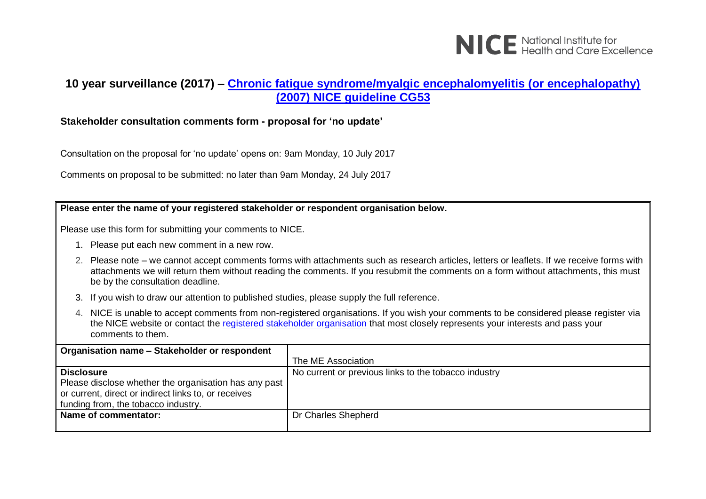

# **10 year surveillance (2017) – [Chronic fatigue syndrome/myalgic encephalomyelitis \(or encephalopathy\)](https://www.nice.org.uk/guidance/cg53)  [\(2007\) NICE guideline CG53](https://www.nice.org.uk/guidance/cg53)**

## **Stakeholder consultation comments form - proposal for 'no update'**

Consultation on the proposal for 'no update' opens on: 9am Monday, 10 July 2017

Comments on proposal to be submitted: no later than 9am Monday, 24 July 2017

#### **Please enter the name of your registered stakeholder or respondent organisation below.**

Please use this form for submitting your comments to NICE.

- 1. Please put each new comment in a new row.
- 2. Please note we cannot accept comments forms with attachments such as research articles, letters or leaflets. If we receive forms with attachments we will return them without reading the comments. If you resubmit the comments on a form without attachments, this must be by the consultation deadline.
- 3. If you wish to draw our attention to published studies, please supply the full reference.
- 4. NICE is unable to accept comments from non-registered organisations. If you wish your comments to be considered please register via the NICE website or contact the [registered stakeholder organisation](https://www.nice.org.uk/guidance/cg53/documents/stakeholder-list-2) that most closely represents your interests and pass your comments to them.

| Organisation name - Stakeholder or respondent                                                                                                                             |                                                      |
|---------------------------------------------------------------------------------------------------------------------------------------------------------------------------|------------------------------------------------------|
|                                                                                                                                                                           | The ME Association                                   |
| <b>Disclosure</b><br>Please disclose whether the organisation has any past<br>or current, direct or indirect links to, or receives<br>funding from, the tobacco industry. | No current or previous links to the tobacco industry |
| Name of commentator:                                                                                                                                                      | Dr Charles Shepherd                                  |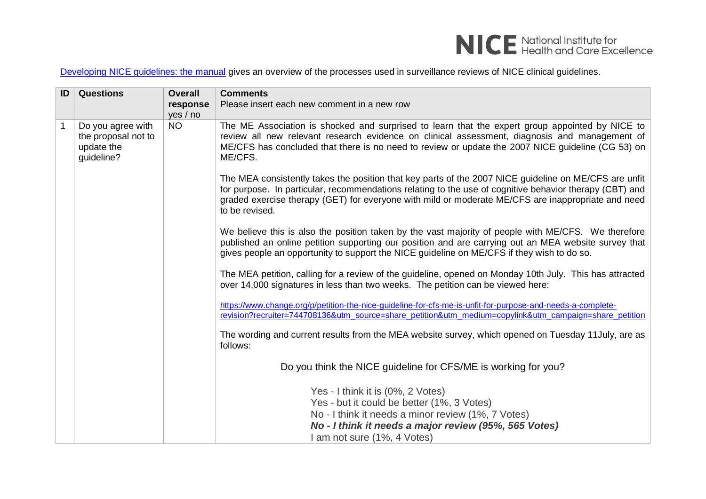

[Developing NICE guidelines: the manual](https://www.nice.org.uk/process/pmg20/chapter/1-introduction-and-overview) gives an overview of the processes used in surveillance reviews of NICE clinical guidelines.

| ID | <b>Questions</b>                                                     | <b>Overall</b><br>response<br>yes / no | <b>Comments</b><br>Please insert each new comment in a new row                                                                                                                                                                                                                                                                           |
|----|----------------------------------------------------------------------|----------------------------------------|------------------------------------------------------------------------------------------------------------------------------------------------------------------------------------------------------------------------------------------------------------------------------------------------------------------------------------------|
|    | Do you agree with<br>the proposal not to<br>update the<br>guideline? | <b>NO</b>                              | The ME Association is shocked and surprised to learn that the expert group appointed by NICE to<br>review all new relevant research evidence on clinical assessment, diagnosis and management of<br>ME/CFS has concluded that there is no need to review or update the 2007 NICE guideline (CG 53) on<br>ME/CFS.                         |
|    |                                                                      |                                        | The MEA consistently takes the position that key parts of the 2007 NICE guideline on ME/CFS are unfit<br>for purpose. In particular, recommendations relating to the use of cognitive behavior therapy (CBT) and<br>graded exercise therapy (GET) for everyone with mild or moderate ME/CFS are inappropriate and need<br>to be revised. |
|    |                                                                      |                                        | We believe this is also the position taken by the vast majority of people with ME/CFS. We therefore<br>published an online petition supporting our position and are carrying out an MEA website survey that<br>gives people an opportunity to support the NICE guideline on ME/CFS if they wish to do so.                                |
|    |                                                                      |                                        | The MEA petition, calling for a review of the guideline, opened on Monday 10th July. This has attracted<br>over 14,000 signatures in less than two weeks. The petition can be viewed here:                                                                                                                                               |
|    |                                                                      |                                        | https://www.change.org/p/petition-the-nice-guideline-for-cfs-me-is-unfit-for-purpose-and-needs-a-complete-<br>revision?recruiter=744708136&utm_source=share_petition&utm_medium=copylink&utm_campaign=share_petition                                                                                                                     |
|    |                                                                      |                                        | The wording and current results from the MEA website survey, which opened on Tuesday 11 July, are as<br>follows:                                                                                                                                                                                                                         |
|    |                                                                      |                                        | Do you think the NICE guideline for CFS/ME is working for you?                                                                                                                                                                                                                                                                           |
|    |                                                                      |                                        | Yes - I think it is (0%, 2 Votes)<br>Yes - but it could be better (1%, 3 Votes)<br>No - I think it needs a minor review (1%, 7 Votes)<br>No - I think it needs a major review (95%, 565 Votes)<br>I am not sure (1%, 4 Votes)                                                                                                            |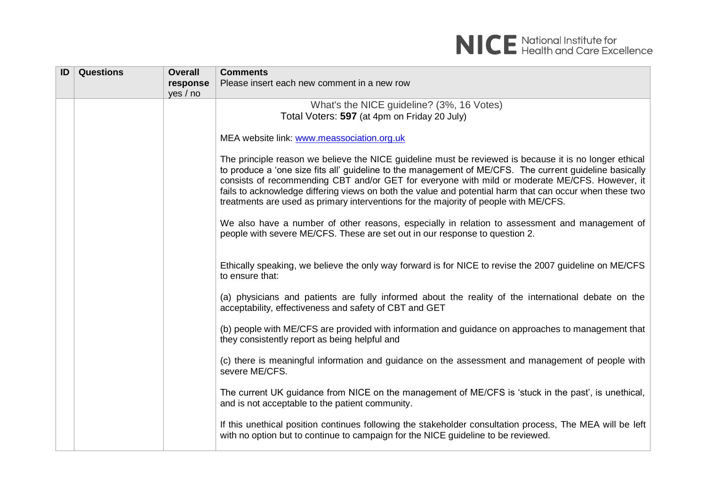

| ID | <b>Questions</b> | <b>Overall</b> | <b>Comments</b>                                                                                                                                                                                                                                                                                                                                                                                                                                                                                                        |
|----|------------------|----------------|------------------------------------------------------------------------------------------------------------------------------------------------------------------------------------------------------------------------------------------------------------------------------------------------------------------------------------------------------------------------------------------------------------------------------------------------------------------------------------------------------------------------|
|    |                  | response       | Please insert each new comment in a new row                                                                                                                                                                                                                                                                                                                                                                                                                                                                            |
|    |                  | yes / no       |                                                                                                                                                                                                                                                                                                                                                                                                                                                                                                                        |
|    |                  |                | What's the NICE guideline? (3%, 16 Votes)                                                                                                                                                                                                                                                                                                                                                                                                                                                                              |
|    |                  |                | Total Voters: 597 (at 4pm on Friday 20 July)                                                                                                                                                                                                                                                                                                                                                                                                                                                                           |
|    |                  |                |                                                                                                                                                                                                                                                                                                                                                                                                                                                                                                                        |
|    |                  |                | MEA website link: www.meassociation.org.uk                                                                                                                                                                                                                                                                                                                                                                                                                                                                             |
|    |                  |                | The principle reason we believe the NICE guideline must be reviewed is because it is no longer ethical<br>to produce a 'one size fits all' guideline to the management of ME/CFS. The current guideline basically<br>consists of recommending CBT and/or GET for everyone with mild or moderate ME/CFS. However, it<br>fails to acknowledge differing views on both the value and potential harm that can occur when these two<br>treatments are used as primary interventions for the majority of people with ME/CFS. |
|    |                  |                | We also have a number of other reasons, especially in relation to assessment and management of<br>people with severe ME/CFS. These are set out in our response to question 2.                                                                                                                                                                                                                                                                                                                                          |
|    |                  |                | Ethically speaking, we believe the only way forward is for NICE to revise the 2007 guideline on ME/CFS<br>to ensure that:                                                                                                                                                                                                                                                                                                                                                                                              |
|    |                  |                | (a) physicians and patients are fully informed about the reality of the international debate on the<br>acceptability, effectiveness and safety of CBT and GET                                                                                                                                                                                                                                                                                                                                                          |
|    |                  |                | (b) people with ME/CFS are provided with information and guidance on approaches to management that<br>they consistently report as being helpful and                                                                                                                                                                                                                                                                                                                                                                    |
|    |                  |                | (c) there is meaningful information and guidance on the assessment and management of people with<br>severe ME/CFS.                                                                                                                                                                                                                                                                                                                                                                                                     |
|    |                  |                | The current UK guidance from NICE on the management of ME/CFS is 'stuck in the past', is unethical,<br>and is not acceptable to the patient community.                                                                                                                                                                                                                                                                                                                                                                 |
|    |                  |                | If this unethical position continues following the stakeholder consultation process, The MEA will be left<br>with no option but to continue to campaign for the NICE guideline to be reviewed.                                                                                                                                                                                                                                                                                                                         |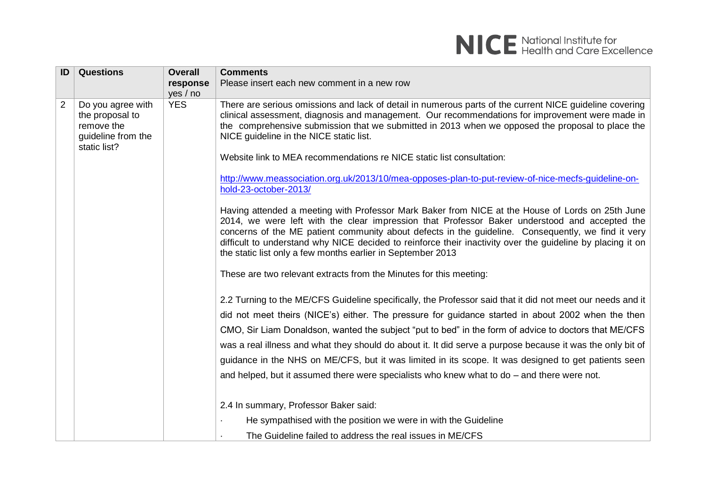

| ID             | <b>Questions</b>                                                                         | <b>Overall</b> | <b>Comments</b>                                                                                                                                                                                                                                                                                                                                                                                                                                                                                                                                                                                                                                |
|----------------|------------------------------------------------------------------------------------------|----------------|------------------------------------------------------------------------------------------------------------------------------------------------------------------------------------------------------------------------------------------------------------------------------------------------------------------------------------------------------------------------------------------------------------------------------------------------------------------------------------------------------------------------------------------------------------------------------------------------------------------------------------------------|
|                |                                                                                          | response       | Please insert each new comment in a new row                                                                                                                                                                                                                                                                                                                                                                                                                                                                                                                                                                                                    |
|                |                                                                                          | yes / no       |                                                                                                                                                                                                                                                                                                                                                                                                                                                                                                                                                                                                                                                |
| $\overline{2}$ | Do you agree with<br>the proposal to<br>remove the<br>guideline from the<br>static list? | <b>YES</b>     | There are serious omissions and lack of detail in numerous parts of the current NICE guideline covering<br>clinical assessment, diagnosis and management. Our recommendations for improvement were made in<br>the comprehensive submission that we submitted in 2013 when we opposed the proposal to place the<br>NICE guideline in the NICE static list.                                                                                                                                                                                                                                                                                      |
|                |                                                                                          |                | Website link to MEA recommendations re NICE static list consultation:                                                                                                                                                                                                                                                                                                                                                                                                                                                                                                                                                                          |
|                |                                                                                          |                | http://www.meassociation.org.uk/2013/10/mea-opposes-plan-to-put-review-of-nice-mecfs-guideline-on-<br>hold-23-october-2013/                                                                                                                                                                                                                                                                                                                                                                                                                                                                                                                    |
|                |                                                                                          |                | Having attended a meeting with Professor Mark Baker from NICE at the House of Lords on 25th June<br>2014, we were left with the clear impression that Professor Baker understood and accepted the<br>concerns of the ME patient community about defects in the guideline. Consequently, we find it very<br>difficult to understand why NICE decided to reinforce their inactivity over the guideline by placing it on<br>the static list only a few months earlier in September 2013                                                                                                                                                           |
|                |                                                                                          |                | These are two relevant extracts from the Minutes for this meeting:                                                                                                                                                                                                                                                                                                                                                                                                                                                                                                                                                                             |
|                |                                                                                          |                | 2.2 Turning to the ME/CFS Guideline specifically, the Professor said that it did not meet our needs and it<br>did not meet theirs (NICE's) either. The pressure for guidance started in about 2002 when the then<br>CMO, Sir Liam Donaldson, wanted the subject "put to bed" in the form of advice to doctors that ME/CFS<br>was a real illness and what they should do about it. It did serve a purpose because it was the only bit of<br>guidance in the NHS on ME/CFS, but it was limited in its scope. It was designed to get patients seen<br>and helped, but it assumed there were specialists who knew what to do – and there were not. |
|                |                                                                                          |                | 2.4 In summary, Professor Baker said:                                                                                                                                                                                                                                                                                                                                                                                                                                                                                                                                                                                                          |
|                |                                                                                          |                | He sympathised with the position we were in with the Guideline                                                                                                                                                                                                                                                                                                                                                                                                                                                                                                                                                                                 |
|                |                                                                                          |                | The Guideline failed to address the real issues in ME/CFS                                                                                                                                                                                                                                                                                                                                                                                                                                                                                                                                                                                      |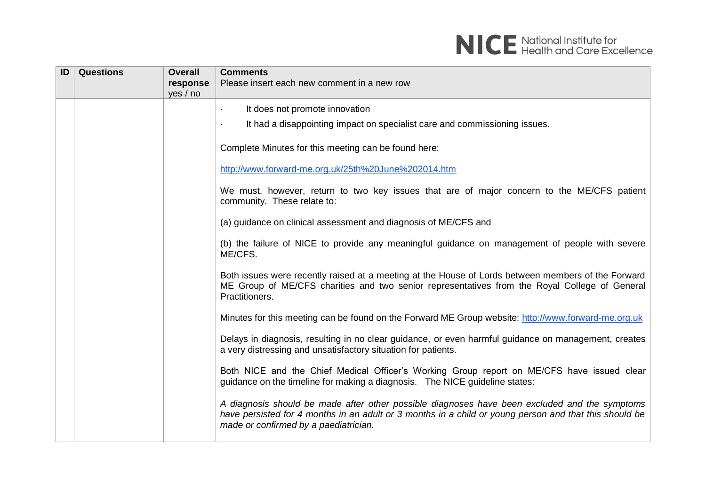

| ID | <b>Questions</b> | <b>Overall</b><br>response<br>yes / no | <b>Comments</b><br>Please insert each new comment in a new row                                                                                                                                                                                   |
|----|------------------|----------------------------------------|--------------------------------------------------------------------------------------------------------------------------------------------------------------------------------------------------------------------------------------------------|
|    |                  |                                        | It does not promote innovation                                                                                                                                                                                                                   |
|    |                  |                                        | It had a disappointing impact on specialist care and commissioning issues.                                                                                                                                                                       |
|    |                  |                                        | Complete Minutes for this meeting can be found here:                                                                                                                                                                                             |
|    |                  |                                        | http://www.forward-me.org.uk/25th%20June%202014.htm                                                                                                                                                                                              |
|    |                  |                                        | We must, however, return to two key issues that are of major concern to the ME/CFS patient<br>community. These relate to:                                                                                                                        |
|    |                  |                                        | (a) guidance on clinical assessment and diagnosis of ME/CFS and                                                                                                                                                                                  |
|    |                  |                                        | (b) the failure of NICE to provide any meaningful guidance on management of people with severe<br>ME/CFS.                                                                                                                                        |
|    |                  |                                        | Both issues were recently raised at a meeting at the House of Lords between members of the Forward<br>ME Group of ME/CFS charities and two senior representatives from the Royal College of General<br>Practitioners.                            |
|    |                  |                                        | Minutes for this meeting can be found on the Forward ME Group website: http://www.forward-me.org.uk                                                                                                                                              |
|    |                  |                                        | Delays in diagnosis, resulting in no clear guidance, or even harmful guidance on management, creates<br>a very distressing and unsatisfactory situation for patients.                                                                            |
|    |                  |                                        | Both NICE and the Chief Medical Officer's Working Group report on ME/CFS have issued clear<br>guidance on the timeline for making a diagnosis. The NICE guideline states:                                                                        |
|    |                  |                                        | A diagnosis should be made after other possible diagnoses have been excluded and the symptoms<br>have persisted for 4 months in an adult or 3 months in a child or young person and that this should be<br>made or confirmed by a paediatrician. |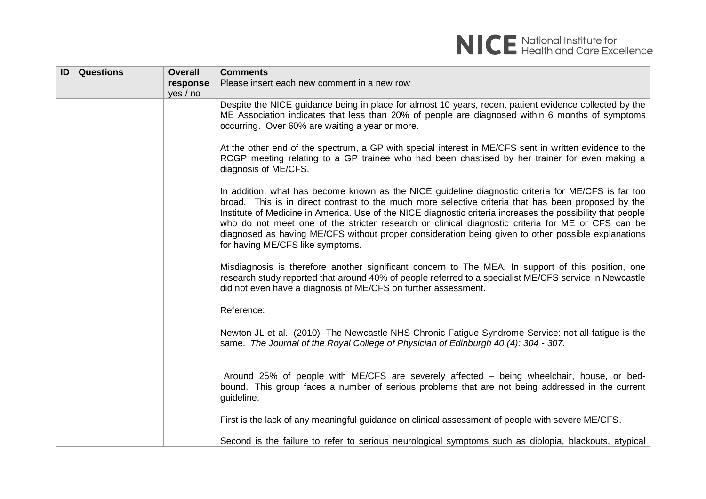

| ID | <b>Questions</b> | <b>Overall</b> | <b>Comments</b>                                                                                                                                                                                                                                                                                                                                                                                                                                                                                                                                                         |
|----|------------------|----------------|-------------------------------------------------------------------------------------------------------------------------------------------------------------------------------------------------------------------------------------------------------------------------------------------------------------------------------------------------------------------------------------------------------------------------------------------------------------------------------------------------------------------------------------------------------------------------|
|    |                  | response       | Please insert each new comment in a new row                                                                                                                                                                                                                                                                                                                                                                                                                                                                                                                             |
|    |                  | yes / no       |                                                                                                                                                                                                                                                                                                                                                                                                                                                                                                                                                                         |
|    |                  |                | Despite the NICE guidance being in place for almost 10 years, recent patient evidence collected by the<br>ME Association indicates that less than 20% of people are diagnosed within 6 months of symptoms<br>occurring. Over 60% are waiting a year or more.                                                                                                                                                                                                                                                                                                            |
|    |                  |                | At the other end of the spectrum, a GP with special interest in ME/CFS sent in written evidence to the<br>RCGP meeting relating to a GP trainee who had been chastised by her trainer for even making a<br>diagnosis of ME/CFS.                                                                                                                                                                                                                                                                                                                                         |
|    |                  |                | In addition, what has become known as the NICE guideline diagnostic criteria for ME/CFS is far too<br>broad. This is in direct contrast to the much more selective criteria that has been proposed by the<br>Institute of Medicine in America. Use of the NICE diagnostic criteria increases the possibility that people<br>who do not meet one of the stricter research or clinical diagnostic criteria for ME or CFS can be<br>diagnosed as having ME/CFS without proper consideration being given to other possible explanations<br>for having ME/CFS like symptoms. |
|    |                  |                | Misdiagnosis is therefore another significant concern to The MEA. In support of this position, one<br>research study reported that around 40% of people referred to a specialist ME/CFS service in Newcastle<br>did not even have a diagnosis of ME/CFS on further assessment.                                                                                                                                                                                                                                                                                          |
|    |                  |                | Reference:                                                                                                                                                                                                                                                                                                                                                                                                                                                                                                                                                              |
|    |                  |                | Newton JL et al. (2010) The Newcastle NHS Chronic Fatigue Syndrome Service: not all fatigue is the<br>same. The Journal of the Royal College of Physician of Edinburgh 40 (4): 304 - 307.                                                                                                                                                                                                                                                                                                                                                                               |
|    |                  |                | Around 25% of people with ME/CFS are severely affected – being wheelchair, house, or bed-<br>bound. This group faces a number of serious problems that are not being addressed in the current<br>guideline.                                                                                                                                                                                                                                                                                                                                                             |
|    |                  |                | First is the lack of any meaningful guidance on clinical assessment of people with severe ME/CFS.                                                                                                                                                                                                                                                                                                                                                                                                                                                                       |
|    |                  |                | Second is the failure to refer to serious neurological symptoms such as diplopia, blackouts, atypical                                                                                                                                                                                                                                                                                                                                                                                                                                                                   |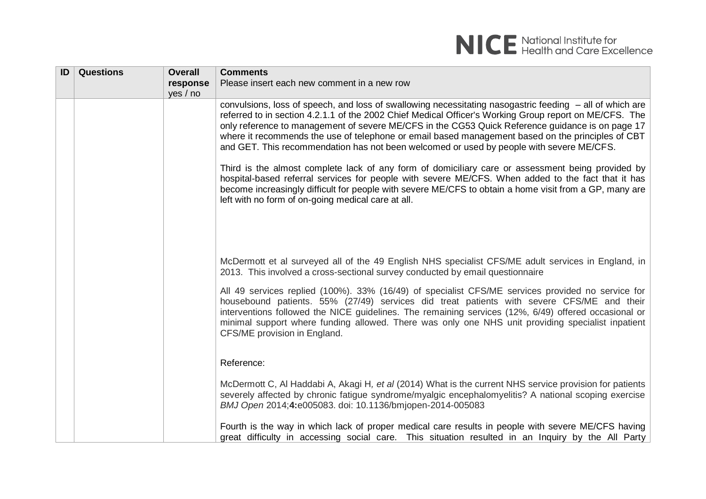

| ID | <b>Questions</b> | <b>Overall</b><br>response | <b>Comments</b><br>Please insert each new comment in a new row                                                                                                                                                                                                                                                                                                                                                                                                                                                          |
|----|------------------|----------------------------|-------------------------------------------------------------------------------------------------------------------------------------------------------------------------------------------------------------------------------------------------------------------------------------------------------------------------------------------------------------------------------------------------------------------------------------------------------------------------------------------------------------------------|
|    |                  | yes / no                   |                                                                                                                                                                                                                                                                                                                                                                                                                                                                                                                         |
|    |                  |                            | convulsions, loss of speech, and loss of swallowing necessitating nasogastric feeding – all of which are<br>referred to in section 4.2.1.1 of the 2002 Chief Medical Officer's Working Group report on ME/CFS. The<br>only reference to management of severe ME/CFS in the CG53 Quick Reference guidance is on page 17<br>where it recommends the use of telephone or email based management based on the principles of CBT<br>and GET. This recommendation has not been welcomed or used by people with severe ME/CFS. |
|    |                  |                            | Third is the almost complete lack of any form of domiciliary care or assessment being provided by<br>hospital-based referral services for people with severe ME/CFS. When added to the fact that it has<br>become increasingly difficult for people with severe ME/CFS to obtain a home visit from a GP, many are<br>left with no form of on-going medical care at all.                                                                                                                                                 |
|    |                  |                            | McDermott et al surveyed all of the 49 English NHS specialist CFS/ME adult services in England, in                                                                                                                                                                                                                                                                                                                                                                                                                      |
|    |                  |                            | 2013. This involved a cross-sectional survey conducted by email questionnaire                                                                                                                                                                                                                                                                                                                                                                                                                                           |
|    |                  |                            | All 49 services replied (100%). 33% (16/49) of specialist CFS/ME services provided no service for<br>housebound patients. 55% (27/49) services did treat patients with severe CFS/ME and their<br>interventions followed the NICE guidelines. The remaining services (12%, 6/49) offered occasional or<br>minimal support where funding allowed. There was only one NHS unit providing specialist inpatient<br>CFS/ME provision in England.                                                                             |
|    |                  |                            | Reference:                                                                                                                                                                                                                                                                                                                                                                                                                                                                                                              |
|    |                  |                            | McDermott C, AI Haddabi A, Akagi H, et al (2014) What is the current NHS service provision for patients<br>severely affected by chronic fatigue syndrome/myalgic encephalomyelitis? A national scoping exercise<br>BMJ Open 2014;4:e005083. doi: 10.1136/bmjopen-2014-005083                                                                                                                                                                                                                                            |
|    |                  |                            | Fourth is the way in which lack of proper medical care results in people with severe ME/CFS having<br>great difficulty in accessing social care. This situation resulted in an Inguiry by the All Party                                                                                                                                                                                                                                                                                                                 |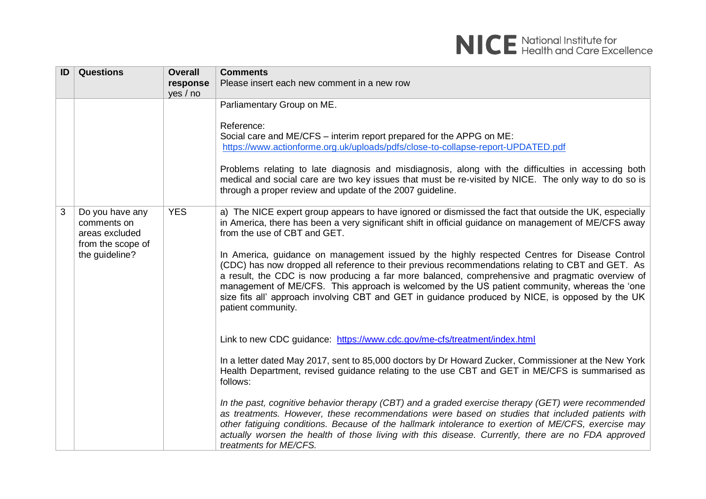

| ID | <b>Questions</b>                                                                        | <b>Overall</b>       | <b>Comments</b>                                                                                                                                                                                                                                                                                                                                                                                                                                                                                                                                                                                                                                                                                                                                                                     |
|----|-----------------------------------------------------------------------------------------|----------------------|-------------------------------------------------------------------------------------------------------------------------------------------------------------------------------------------------------------------------------------------------------------------------------------------------------------------------------------------------------------------------------------------------------------------------------------------------------------------------------------------------------------------------------------------------------------------------------------------------------------------------------------------------------------------------------------------------------------------------------------------------------------------------------------|
|    |                                                                                         | response<br>yes / no | Please insert each new comment in a new row                                                                                                                                                                                                                                                                                                                                                                                                                                                                                                                                                                                                                                                                                                                                         |
|    |                                                                                         |                      | Parliamentary Group on ME.<br>Reference:<br>Social care and ME/CFS - interim report prepared for the APPG on ME:<br>https://www.actionforme.org.uk/uploads/pdfs/close-to-collapse-report-UPDATED.pdf<br>Problems relating to late diagnosis and misdiagnosis, along with the difficulties in accessing both<br>medical and social care are two key issues that must be re-visited by NICE. The only way to do so is<br>through a proper review and update of the 2007 guideline.                                                                                                                                                                                                                                                                                                    |
| 3  | Do you have any<br>comments on<br>areas excluded<br>from the scope of<br>the guideline? | <b>YES</b>           | a) The NICE expert group appears to have ignored or dismissed the fact that outside the UK, especially<br>in America, there has been a very significant shift in official guidance on management of ME/CFS away<br>from the use of CBT and GET.<br>In America, guidance on management issued by the highly respected Centres for Disease Control<br>(CDC) has now dropped all reference to their previous recommendations relating to CBT and GET. As<br>a result, the CDC is now producing a far more balanced, comprehensive and pragmatic overview of<br>management of ME/CFS. This approach is welcomed by the US patient community, whereas the 'one<br>size fits all' approach involving CBT and GET in guidance produced by NICE, is opposed by the UK<br>patient community. |
|    |                                                                                         |                      | Link to new CDC guidance: https://www.cdc.gov/me-cfs/treatment/index.html<br>In a letter dated May 2017, sent to 85,000 doctors by Dr Howard Zucker, Commissioner at the New York<br>Health Department, revised guidance relating to the use CBT and GET in ME/CFS is summarised as<br>follows:<br>In the past, cognitive behavior therapy (CBT) and a graded exercise therapy (GET) were recommended<br>as treatments. However, these recommendations were based on studies that included patients with<br>other fatiguing conditions. Because of the hallmark intolerance to exertion of ME/CFS, exercise may<br>actually worsen the health of those living with this disease. Currently, there are no FDA approved<br>treatments for ME/CFS.                                     |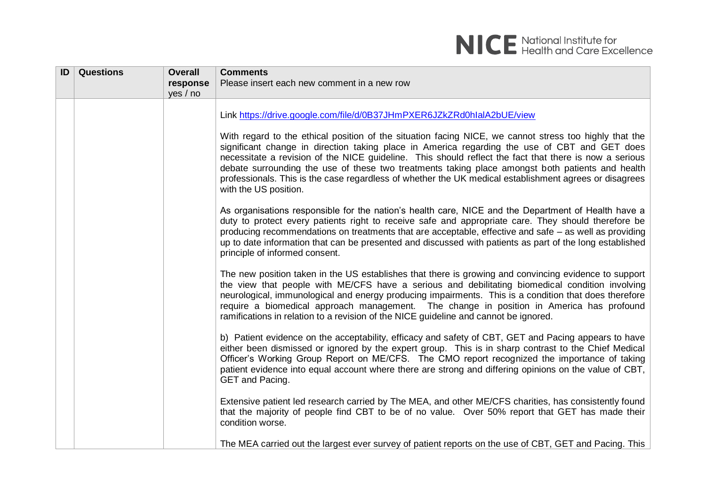# NICE National Institute for<br>NICE Health and Care Excellence

| ID | <b>Questions</b> | <b>Overall</b> | <b>Comments</b>                                                                                                                                                                                                                                                                                                                                                                                                                                                                                                                                          |
|----|------------------|----------------|----------------------------------------------------------------------------------------------------------------------------------------------------------------------------------------------------------------------------------------------------------------------------------------------------------------------------------------------------------------------------------------------------------------------------------------------------------------------------------------------------------------------------------------------------------|
|    |                  | response       | Please insert each new comment in a new row                                                                                                                                                                                                                                                                                                                                                                                                                                                                                                              |
|    |                  | yes / no       |                                                                                                                                                                                                                                                                                                                                                                                                                                                                                                                                                          |
|    |                  |                | Link https://drive.google.com/file/d/0B37JHmPXER6JZkZRd0hlalA2bUE/view                                                                                                                                                                                                                                                                                                                                                                                                                                                                                   |
|    |                  |                | With regard to the ethical position of the situation facing NICE, we cannot stress too highly that the<br>significant change in direction taking place in America regarding the use of CBT and GET does<br>necessitate a revision of the NICE guideline. This should reflect the fact that there is now a serious<br>debate surrounding the use of these two treatments taking place amongst both patients and health<br>professionals. This is the case regardless of whether the UK medical establishment agrees or disagrees<br>with the US position. |
|    |                  |                | As organisations responsible for the nation's health care, NICE and the Department of Health have a<br>duty to protect every patients right to receive safe and appropriate care. They should therefore be<br>producing recommendations on treatments that are acceptable, effective and safe – as well as providing<br>up to date information that can be presented and discussed with patients as part of the long established<br>principle of informed consent.                                                                                       |
|    |                  |                | The new position taken in the US establishes that there is growing and convincing evidence to support<br>the view that people with ME/CFS have a serious and debilitating biomedical condition involving<br>neurological, immunological and energy producing impairments. This is a condition that does therefore<br>require a biomedical approach management. The change in position in America has profound<br>ramifications in relation to a revision of the NICE guideline and cannot be ignored.                                                    |
|    |                  |                | b) Patient evidence on the acceptability, efficacy and safety of CBT, GET and Pacing appears to have<br>either been dismissed or ignored by the expert group. This is in sharp contrast to the Chief Medical<br>Officer's Working Group Report on ME/CFS. The CMO report recognized the importance of taking<br>patient evidence into equal account where there are strong and differing opinions on the value of CBT,<br>GET and Pacing.                                                                                                                |
|    |                  |                | Extensive patient led research carried by The MEA, and other ME/CFS charities, has consistently found<br>that the majority of people find CBT to be of no value. Over 50% report that GET has made their<br>condition worse.                                                                                                                                                                                                                                                                                                                             |
|    |                  |                | The MEA carried out the largest ever survey of patient reports on the use of CBT, GET and Pacing. This                                                                                                                                                                                                                                                                                                                                                                                                                                                   |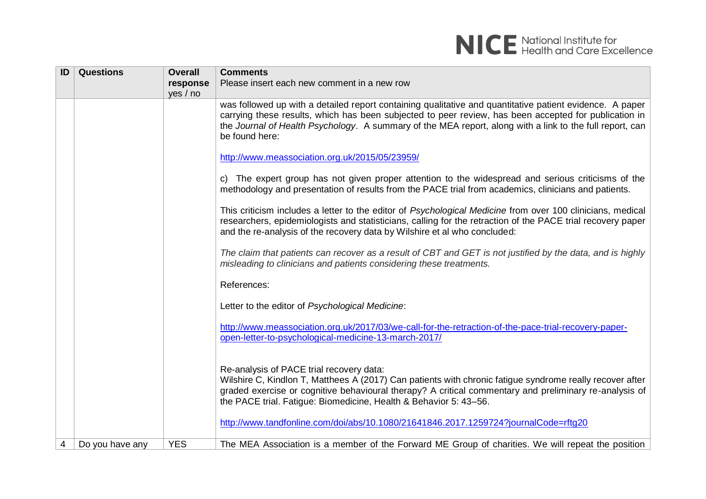

| ID | <b>Questions</b> | <b>Overall</b> | <b>Comments</b>                                                                                                                                                                                                                                                                                                                                 |
|----|------------------|----------------|-------------------------------------------------------------------------------------------------------------------------------------------------------------------------------------------------------------------------------------------------------------------------------------------------------------------------------------------------|
|    |                  | response       | Please insert each new comment in a new row                                                                                                                                                                                                                                                                                                     |
|    |                  | yes / no       |                                                                                                                                                                                                                                                                                                                                                 |
|    |                  |                | was followed up with a detailed report containing qualitative and quantitative patient evidence. A paper<br>carrying these results, which has been subjected to peer review, has been accepted for publication in<br>the Journal of Health Psychology. A summary of the MEA report, along with a link to the full report, can<br>be found here: |
|    |                  |                | http://www.meassociation.org.uk/2015/05/23959/                                                                                                                                                                                                                                                                                                  |
|    |                  |                | c) The expert group has not given proper attention to the widespread and serious criticisms of the<br>methodology and presentation of results from the PACE trial from academics, clinicians and patients.                                                                                                                                      |
|    |                  |                | This criticism includes a letter to the editor of Psychological Medicine from over 100 clinicians, medical<br>researchers, epidemiologists and statisticians, calling for the retraction of the PACE trial recovery paper<br>and the re-analysis of the recovery data by Wilshire et al who concluded:                                          |
|    |                  |                | The claim that patients can recover as a result of CBT and GET is not justified by the data, and is highly<br>misleading to clinicians and patients considering these treatments.                                                                                                                                                               |
|    |                  |                | References:                                                                                                                                                                                                                                                                                                                                     |
|    |                  |                | Letter to the editor of Psychological Medicine:                                                                                                                                                                                                                                                                                                 |
|    |                  |                | http://www.meassociation.org.uk/2017/03/we-call-for-the-retraction-of-the-pace-trial-recovery-paper-<br>open-letter-to-psychological-medicine-13-march-2017/                                                                                                                                                                                    |
|    |                  |                | Re-analysis of PACE trial recovery data:<br>Wilshire C, Kindlon T, Matthees A (2017) Can patients with chronic fatigue syndrome really recover after<br>graded exercise or cognitive behavioural therapy? A critical commentary and preliminary re-analysis of<br>the PACE trial. Fatigue: Biomedicine, Health & Behavior 5: 43-56.             |
|    |                  |                | http://www.tandfonline.com/doi/abs/10.1080/21641846.2017.1259724?journalCode=rftg20                                                                                                                                                                                                                                                             |
| 4  | Do you have any  | <b>YES</b>     | The MEA Association is a member of the Forward ME Group of charities. We will repeat the position                                                                                                                                                                                                                                               |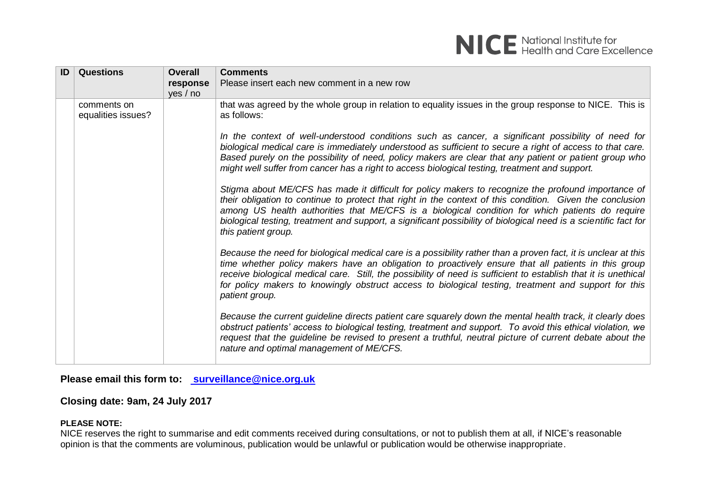

| ID | <b>Questions</b>                  | <b>Overall</b><br>response<br>yes / no | <b>Comments</b><br>Please insert each new comment in a new row                                                                                                                                                                                                                                                                                                                                                                                                     |
|----|-----------------------------------|----------------------------------------|--------------------------------------------------------------------------------------------------------------------------------------------------------------------------------------------------------------------------------------------------------------------------------------------------------------------------------------------------------------------------------------------------------------------------------------------------------------------|
|    | comments on<br>equalities issues? |                                        | that was agreed by the whole group in relation to equality issues in the group response to NICE. This is<br>as follows:                                                                                                                                                                                                                                                                                                                                            |
|    |                                   |                                        | In the context of well-understood conditions such as cancer, a significant possibility of need for<br>biological medical care is immediately understood as sufficient to secure a right of access to that care.<br>Based purely on the possibility of need, policy makers are clear that any patient or patient group who<br>might well suffer from cancer has a right to access biological testing, treatment and support.                                        |
|    |                                   |                                        | Stigma about ME/CFS has made it difficult for policy makers to recognize the profound importance of<br>their obligation to continue to protect that right in the context of this condition. Given the conclusion<br>among US health authorities that ME/CFS is a biological condition for which patients do require<br>biological testing, treatment and support, a significant possibility of biological need is a scientific fact for<br>this patient group.     |
|    |                                   |                                        | Because the need for biological medical care is a possibility rather than a proven fact, it is unclear at this<br>time whether policy makers have an obligation to proactively ensure that all patients in this group<br>receive biological medical care. Still, the possibility of need is sufficient to establish that it is unethical<br>for policy makers to knowingly obstruct access to biological testing, treatment and support for this<br>patient group. |
|    |                                   |                                        | Because the current guideline directs patient care squarely down the mental health track, it clearly does<br>obstruct patients' access to biological testing, treatment and support. To avoid this ethical violation, we<br>request that the guideline be revised to present a truthful, neutral picture of current debate about the<br>nature and optimal management of ME/CFS.                                                                                   |

**Please email this form to: [surveillance@nice.org.uk](mailto:surveillance@nice.org.uk)**

# **Closing date: 9am, 24 July 2017**

### **PLEASE NOTE:**

NICE reserves the right to summarise and edit comments received during consultations, or not to publish them at all, if NICE's reasonable opinion is that the comments are voluminous, publication would be unlawful or publication would be otherwise inappropriate.